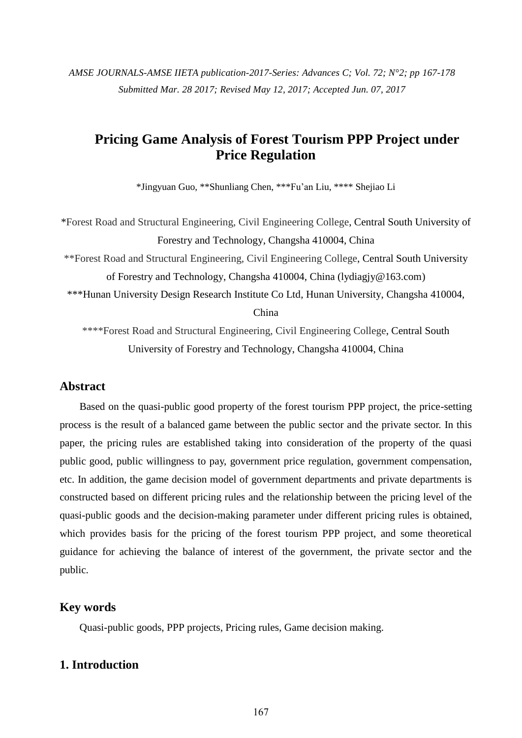*AMSE JOURNALS-AMSE IIETA publication-2017-Series: Advances C; Vol. 72; N°2; pp 167-178 Submitted Mar. 28 2017; Revised May 12, 2017; Accepted Jun. 07, 2017*

# **Pricing Game Analysis of Forest Tourism PPP Project under Price Regulation**

\*Jingyuan Guo, \*\*Shunliang Chen, \*\*\*Fu'an Liu, \*\*\*\* Shejiao Li

\*Forest Road and Structural Engineering, Civil Engineering College, Central South University of Forestry and Technology, Changsha 410004, China

\*\*Forest Road and Structural Engineering, Civil Engineering College, Central South University of Forestry and Technology, Changsha 410004, China (lydiagjy@163.com)

\*\*\*Hunan University Design Research Institute Co Ltd, Hunan University, Changsha 410004,

China

\*\*\*\*Forest Road and Structural Engineering, Civil Engineering College, Central South University of Forestry and Technology, Changsha 410004, China

### **Abstract**

Based on the quasi-public good property of the forest tourism PPP project, the price-setting process is the result of a balanced game between the public sector and the private sector. In this paper, the pricing rules are established taking into consideration of the property of the quasi public good, public willingness to pay, government price regulation, government compensation, etc. In addition, the game decision model of government departments and private departments is constructed based on different pricing rules and the relationship between the pricing level of the quasi-public goods and the decision-making parameter under different pricing rules is obtained, which provides basis for the pricing of the forest tourism PPP project, and some theoretical guidance for achieving the balance of interest of the government, the private sector and the public.

### **Key words**

Quasi-public goods, PPP projects, Pricing rules, Game decision making.

# **1. Introduction**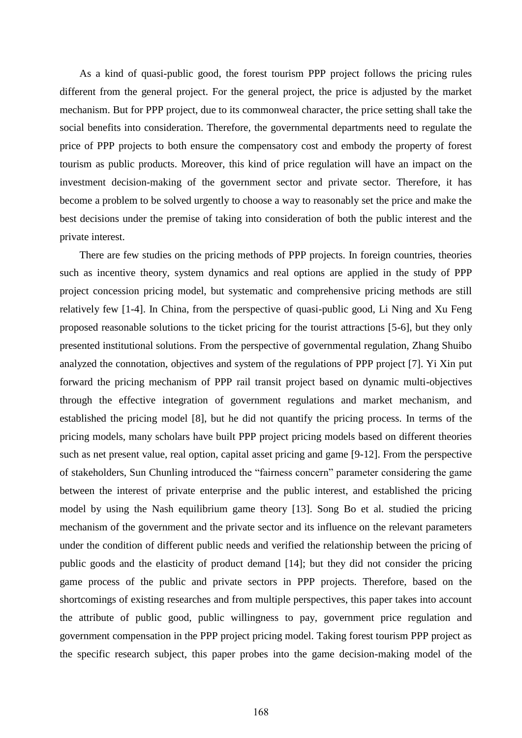As a kind of quasi-public good, the forest tourism PPP project follows the pricing rules different from the general project. For the general project, the price is adjusted by the market mechanism. But for PPP project, due to its commonweal character, the price setting shall take the social benefits into consideration. Therefore, the governmental departments need to regulate the price of PPP projects to both ensure the compensatory cost and embody the property of forest tourism as public products. Moreover, this kind of price regulation will have an impact on the investment decision-making of the government sector and private sector. Therefore, it has become a problem to be solved urgently to choose a way to reasonably set the price and make the best decisions under the premise of taking into consideration of both the public interest and the private interest.

There are few studies on the pricing methods of PPP projects. In foreign countries, theories such as incentive theory, system dynamics and real options are applied in the study of PPP project concession pricing model, but systematic and comprehensive pricing methods are still relatively few [1-4]. In China, from the perspective of quasi-public good, Li Ning and Xu Feng proposed reasonable solutions to the ticket pricing for the tourist attractions [5-6], but they only presented institutional solutions. From the perspective of governmental regulation, Zhang Shuibo analyzed the connotation, objectives and system of the regulations of PPP project [7]. Yi Xin put forward the pricing mechanism of PPP rail transit project based on dynamic multi-objectives through the effective integration of government regulations and market mechanism, and established the pricing model [8], but he did not quantify the pricing process. In terms of the pricing models, many scholars have built PPP project pricing models based on different theories such as net present value, real option, capital asset pricing and game [9-12]. From the perspective of stakeholders, Sun Chunling introduced the "fairness concern" parameter considering the game between the interest of private enterprise and the public interest, and established the pricing model by using the Nash equilibrium game theory [13]. Song Bo et al. studied the pricing mechanism of the government and the private sector and its influence on the relevant parameters under the condition of different public needs and verified the relationship between the pricing of public goods and the elasticity of product demand [14]; but they did not consider the pricing game process of the public and private sectors in PPP projects. Therefore, based on the shortcomings of existing researches and from multiple perspectives, this paper takes into account the attribute of public good, public willingness to pay, government price regulation and government compensation in the PPP project pricing model. Taking forest tourism PPP project as the specific research subject, this paper probes into the game decision-making model of the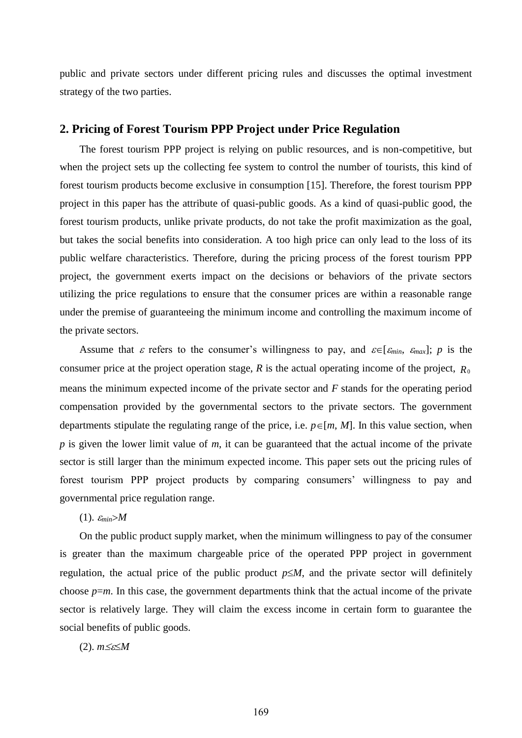public and private sectors under different pricing rules and discusses the optimal investment strategy of the two parties.

### **2. Pricing of Forest Tourism PPP Project under Price Regulation**

The forest tourism PPP project is relying on public resources, and is non-competitive, but when the project sets up the collecting fee system to control the number of tourists, this kind of forest tourism products become exclusive in consumption [15]. Therefore, the forest tourism PPP project in this paper has the attribute of quasi-public goods. As a kind of quasi-public good, the forest tourism products, unlike private products, do not take the profit maximization as the goal, but takes the social benefits into consideration. A too high price can only lead to the loss of its public welfare characteristics. Therefore, during the pricing process of the forest tourism PPP project, the government exerts impact on the decisions or behaviors of the private sectors utilizing the price regulations to ensure that the consumer prices are within a reasonable range under the premise of guaranteeing the minimum income and controlling the maximum income of the private sectors.

Assume that  $\varepsilon$  refers to the consumer's willingness to pay, and  $\varepsilon \in [\varepsilon_{min}, \varepsilon_{max}]$ ; *p* is the consumer price at the project operation stage,  $R$  is the actual operating income of the project,  $R_0$ means the minimum expected income of the private sector and *F* stands for the operating period compensation provided by the governmental sectors to the private sectors. The government departments stipulate the regulating range of the price, i.e.  $p \in [m, M]$ . In this value section, when *p* is given the lower limit value of *m*, it can be guaranteed that the actual income of the private sector is still larger than the minimum expected income. This paper sets out the pricing rules of forest tourism PPP project products by comparing consumers' willingness to pay and governmental price regulation range.

 $(1)$ .  $\varepsilon_{min} > M$ 

On the public product supply market, when the minimum willingness to pay of the consumer is greater than the maximum chargeable price of the operated PPP project in government regulation, the actual price of the public product  $p \leq M$ , and the private sector will definitely choose  $p=m$ . In this case, the government departments think that the actual income of the private sector is relatively large. They will claim the excess income in certain form to guarantee the social benefits of public goods.

 $(2)$ .  $m \leq \leq M$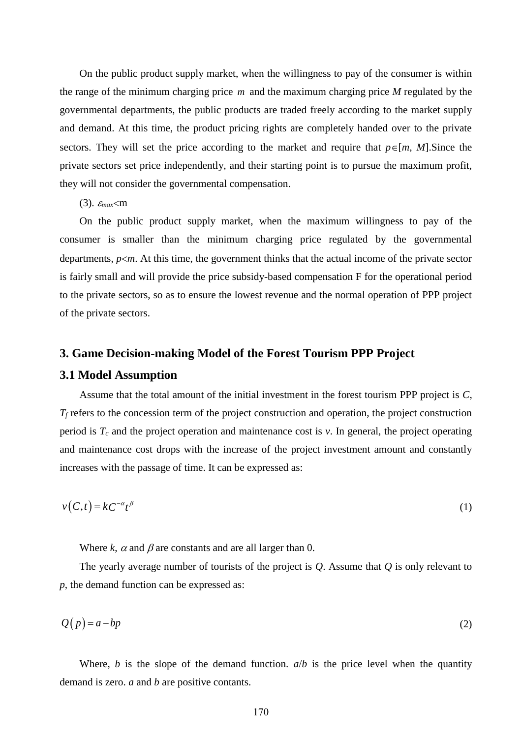On the public product supply market, when the willingness to pay of the consumer is within the range of the minimum charging price *m* and the maximum charging price *M* regulated by the governmental departments, the public products are traded freely according to the market supply and demand. At this time, the product pricing rights are completely handed over to the private sectors. They will set the price according to the market and require that  $p \in [m, M]$ . Since the private sectors set price independently, and their starting point is to pursue the maximum profit, they will not consider the governmental compensation.

 $(3)$ .  $\varepsilon_{max}$  m

On the public product supply market, when the maximum willingness to pay of the consumer is smaller than the minimum charging price regulated by the governmental departments,  $p \le m$ . At this time, the government thinks that the actual income of the private sector is fairly small and will provide the price subsidy-based compensation F for the operational period to the private sectors, so as to ensure the lowest revenue and the normal operation of PPP project of the private sectors.

#### **3. Game Decision-making Model of the Forest Tourism PPP Project**

# **3.1 Model Assumption**

Assume that the total amount of the initial investment in the forest tourism PPP project is *C*,  $T_f$  refers to the concession term of the project construction and operation, the project construction period is *T<sup>c</sup>* and the project operation and maintenance cost is *v*. In general, the project operating and maintenance cost drops with the increase of the project investment amount and constantly increases with the passage of time. It can be expressed as:

$$
v(C,t) = kC^{-\alpha}t^{\beta} \tag{1}
$$

Where  $k$ ,  $\alpha$  and  $\beta$  are constants and are all larger than 0.

The yearly average number of tourists of the project is *Q*. Assume that *Q* is only relevant to *p*, the demand function can be expressed as:

$$
Q(p) = a - bp \tag{2}
$$

Where, *b* is the slope of the demand function.  $a/b$  is the price level when the quantity demand is zero. *a* and *b* are positive contants.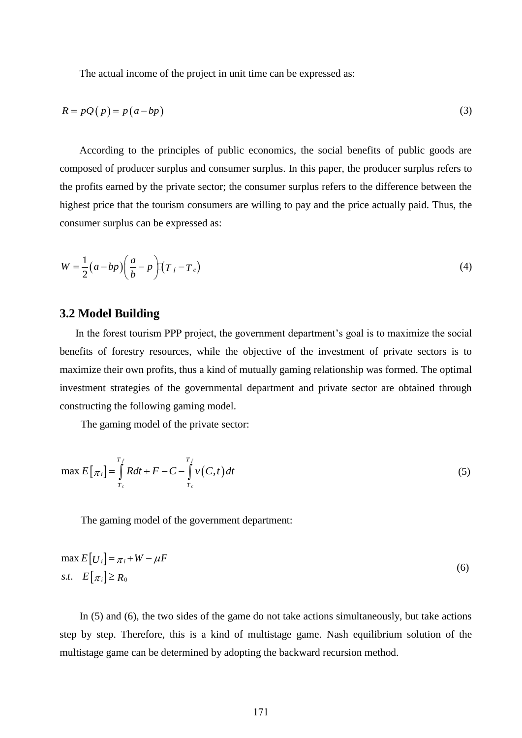The actual income of the project in unit time can be expressed as:

$$
R = pQ(p) = p(a - bp)
$$
\n(3)

According to the principles of public economics, the social benefits of public goods are composed of producer surplus and consumer surplus. In this paper, the producer surplus refers to the profits earned by the private sector; the consumer surplus refers to the difference between the highest price that the tourism consumers are willing to pay and the price actually paid. Thus, the consumer surplus can be expressed as:

$$
W = \frac{1}{2}(a - bp)\left(\frac{a}{b} - p\right)\left(T_f - T_c\right) \tag{4}
$$

### **3.2 Model Building**

In the forest tourism PPP project, the government department's goal is to maximize the social benefits of forestry resources, while the objective of the investment of private sectors is to maximize their own profits, thus a kind of mutually gaming relationship was formed. The optimal investment strategies of the governmental department and private sector are obtained through constructing the following gaming model.

The gaming model of the private sector:

$$
\max E\big[\pi_i\big] = \int_{T_c}^{T_f} Rdt + F - C - \int_{T_c}^{T_f} v(C, t) dt \tag{5}
$$

The gaming model of the government department:

$$
\max E[U_i] = \pi_i + W - \mu F
$$
  
s.t.  $E[\pi_i] \ge R_0$  (6)

In (5) and (6), the two sides of the game do not take actions simultaneously, but take actions step by step. Therefore, this is a kind of multistage game. Nash equilibrium solution of the multistage game can be determined by adopting the backward recursion method.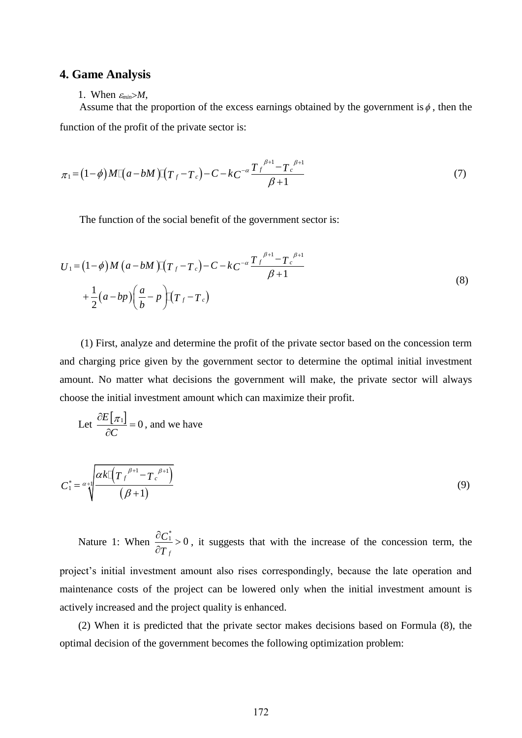### **4. Game Analysis**

1. When  $\varepsilon_{min} > M$ ,

Assume that the proportion of the excess earnings obtained by the government is  $\phi$ , then the function of the profit of the private sector is:

$$
\pi_1 = (1 - \phi)M[(a - bM)[(T_f - T_c) - C - kC^{-\alpha} \frac{T_f^{\beta+1} - T_c^{\beta+1}}{\beta+1}]
$$
\n(7)

The function of the social benefit of the government sector is:

$$
U_1 = (1 - \phi)M (a - bM) [T_f - T_c] - C - kC^{-\alpha} \frac{T_f^{\beta+1} - T_c^{\beta+1}}{\beta+1}
$$
  
+ 
$$
\frac{1}{2} (a - bp) \left( \frac{a}{b} - p \right) [T_f - T_c]
$$
 (8)

(1) First, analyze and determine the profit of the private sector based on the concession term and charging price given by the government sector to determine the optimal initial investment amount. No matter what decisions the government will make, the private sector will always choose the initial investment amount which can maximize their profit.

Let 
$$
\frac{\partial E[\pi_1]}{\partial C} = 0
$$
, and we have

$$
C_1^* = \alpha + \sqrt{\frac{\alpha k \left[ \left( T_f^{\beta+1} - T_c^{\beta+1} \right)}{\left( \beta + 1 \right)} \right] \tag{9}}
$$

Nature 1: When  $\frac{0 \text{C}_1}{2} > 0$ *f C T*  $\frac{\partial C_1^*}{\partial t}$  $\partial$ , it suggests that with the increase of the concession term, the

project's initial investment amount also rises correspondingly, because the late operation and maintenance costs of the project can be lowered only when the initial investment amount is actively increased and the project quality is enhanced.

(2) When it is predicted that the private sector makes decisions based on Formula (8), the optimal decision of the government becomes the following optimization problem: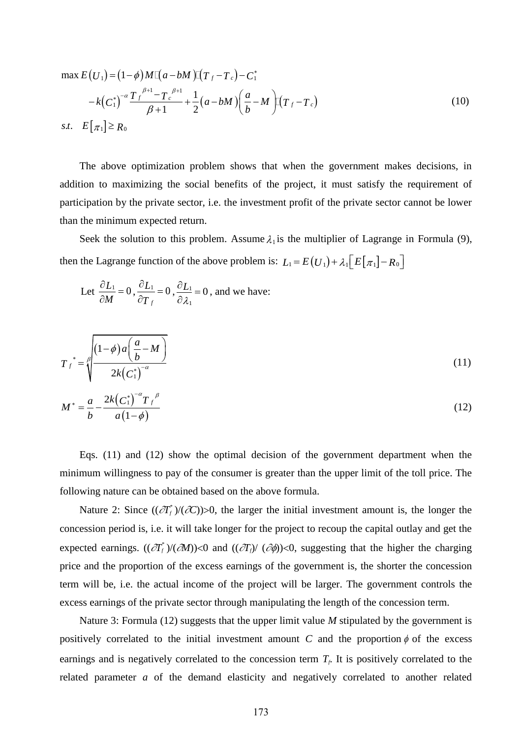$$
\max E(U_1) = (1 - \phi)M[(a - bM)[(T_f - T_c) - C_1^* - k(C_1^*)^{-\alpha}] \frac{T_f^{\beta+1} - T_c^{\beta+1}}{\beta+1} + \frac{1}{2}(a - bM)[\frac{a}{b} - M][(T_f - T_c)]
$$
\n*s.t.*  $E[\pi_1] \ge R_0$  (10)

The above optimization problem shows that when the government makes decisions, in addition to maximizing the social benefits of the project, it must satisfy the requirement of participation by the private sector, i.e. the investment profit of the private sector cannot be lower than the minimum expected return.

Seek the solution to this problem. Assume  $\lambda_1$  is the multiplier of Lagrange in Formula (9), then the Lagrange function of the above problem is:  $L_1 = E(U_1) + \lambda_1 [E[\pi_1] - R_0]$ 

Let 
$$
\frac{\partial L_1}{\partial M} = 0
$$
,  $\frac{\partial L_1}{\partial T_f} = 0$ ,  $\frac{\partial L_1}{\partial \lambda_1} = 0$ , and we have:

$$
T_{f}^{*} = \sqrt{\frac{(1-\phi)a\left(\frac{a}{b}-M\right)}{2k(C_{1}^{*})^{-\alpha}}}
$$
\n(11)

$$
M^* = \frac{a}{b} - \frac{2k(C_1^*)^{-\alpha}T_f^{\beta}}{a(1-\phi)}
$$
(12)

Eqs. (11) and (12) show the optimal decision of the government department when the minimum willingness to pay of the consumer is greater than the upper limit of the toll price. The following nature can be obtained based on the above formula.

Nature 2: Since  $((\partial T_f^*)/(\partial C))>0$ , the larger the initial investment amount is, the longer the concession period is, i.e. it will take longer for the project to recoup the capital outlay and get the expected earnings.  $((\partial T_f)(\partial M))$ <0 and  $((\partial T_f)/(\partial \phi))$ <0, suggesting that the higher the charging price and the proportion of the excess earnings of the government is, the shorter the concession term will be, i.e. the actual income of the project will be larger. The government controls the excess earnings of the private sector through manipulating the length of the concession term.

Nature 3: Formula (12) suggests that the upper limit value *M* stipulated by the government is positively correlated to the initial investment amount C and the proportion  $\phi$  of the excess earnings and is negatively correlated to the concession term *Tf*. It is positively correlated to the related parameter *a* of the demand elasticity and negatively correlated to another related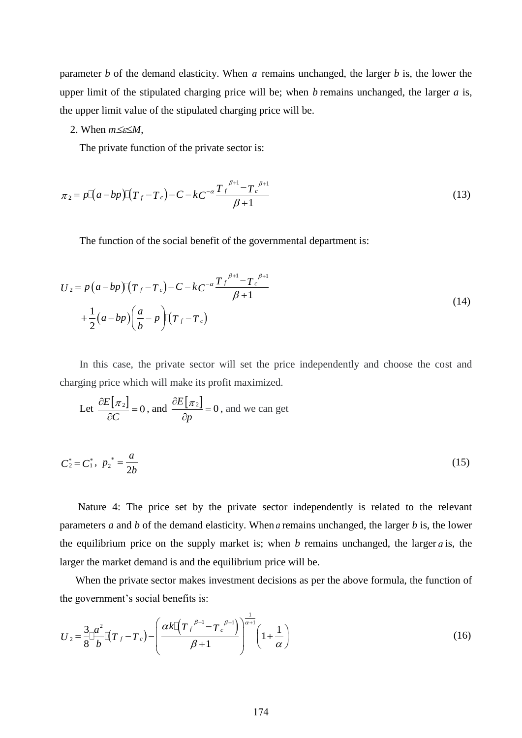parameter *b* of the demand elasticity. When *a* remains unchanged, the larger *b* is, the lower the upper limit of the stipulated charging price will be; when *b* remains unchanged, the larger *a* is, the upper limit value of the stipulated charging price will be.

2. When  $m \leq \leq M$ ,

The private function of the private sector is:

$$
\pi_2 = p\left[ (a - bp)\right] \left( T_f - T_c \right) - C - kC^{-\alpha} \frac{T_f^{\beta+1} - T_c^{\beta+1}}{\beta+1}
$$
\n(13)

The function of the social benefit of the governmental department is:

$$
U_2 = p(a - bp)\left[(T_f - T_c)\right) - C - kC^{-\alpha} \frac{T_f^{\beta+1} - T_c^{\beta+1}}{\beta+1}
$$
  
+  $\frac{1}{2}(a - bp)\left(\frac{a}{b} - p\right)\left[(T_f - T_c)\right]$  (14)

In this case, the private sector will set the price independently and choose the cost and charging price which will make its profit maximized.

Let 
$$
\frac{\partial E[\pi_2]}{\partial C} = 0
$$
, and  $\frac{\partial E[\pi_2]}{\partial p} = 0$ , and we can get

$$
C_2^* = C_1^*, \ p_2^* = \frac{a}{2b} \tag{15}
$$

Nature 4: The price set by the private sector independently is related to the relevant parameters *a* and *b* of the demand elasticity. When *a* remains unchanged, the larger *b* is, the lower the equilibrium price on the supply market is; when  $b$  remains unchanged, the larger  $a$  is, the larger the market demand is and the equilibrium price will be.

When the private sector makes investment decisions as per the above formula, the function of

the government's social benefits is:  
\n
$$
U_2 = \frac{3}{8} \frac{a^2}{b} \left[ (T_f - T_c) - \left( \frac{\alpha k \left[ (T_f^{\beta+1} - T_c^{\beta+1}) \right]}{\beta+1} \right)^{\frac{1}{\alpha+1}} \left( 1 + \frac{1}{\alpha} \right) \right]
$$
\n(16)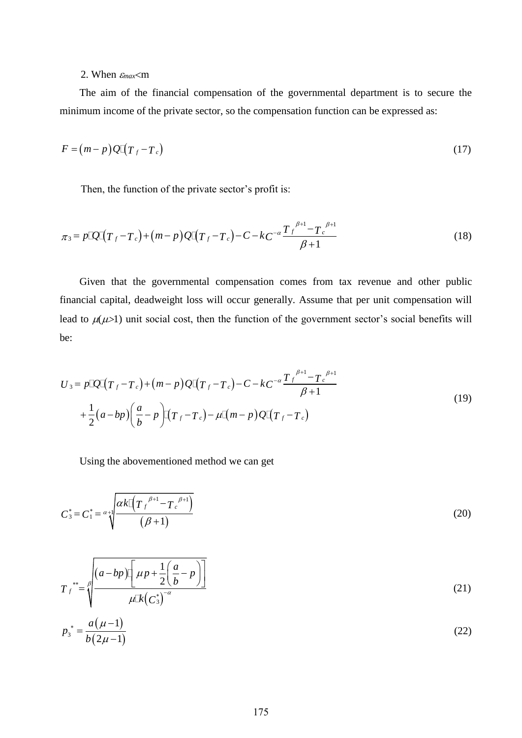### 2. When  $\varepsilon_{max}$  < m

The aim of the financial compensation of the governmental department is to secure the minimum income of the private sector, so the compensation function can be expressed as:

$$
F = (m-p)Q[(T_f - T_c)]
$$
\n(17)

Then, the function of the private sector's profit is:  
\n
$$
\pi_3 = p \mathbb{Q} \mathbb{I} (T_f - T_c) + (m - p) \mathbb{Q} \mathbb{I} (T_f - T_c) - C - kC^{-\alpha} \frac{T_f^{\beta+1} - T_c^{\beta+1}}{\beta+1}
$$
\n(18)

Given that the governmental compensation comes from tax revenue and other public financial capital, deadweight loss will occur generally. Assume that per unit compensation will lead to  $\mu(\mu > 1)$  unit social cost, then the function of the government sector's social benefits will be:

be:  
\n
$$
U_3 = p \mathbb{Q} \mathbb{I} (T_f - T_c) + (m - p) \mathbb{Q} \mathbb{I} (T_f - T_c) - C - k C^{-\alpha} \frac{T_f^{\beta+1} - T_c^{\beta+1}}{\beta+1} + \frac{1}{2} (a - bp) \left( \frac{a}{b} - p \right) \mathbb{I} (T_f - T_c) - \mu \mathbb{I} (m - p) \mathbb{Q} \mathbb{I} (T_f - T_c)
$$
\n(19)

Using the abovementioned method we can get

$$
C_3^* = C_1^* = \alpha + \sqrt{\frac{\alpha k \left[ \left( T_f^{\ \beta + 1} - T_c^{\ \beta + 1} \right)}{\left( \beta + 1 \right)} \right] \tag{20}
$$

$$
T_f^{\ast\ast} = \sqrt{\frac{(a - bp)\left[\mu + \frac{1}{2}\left(\frac{a}{b} - p\right)\right]}{\mu \mathbb{R}\left(\frac{a}{b}\right)^{-\alpha}}}
$$
(21)

$$
p_3^* = \frac{a(\mu - 1)}{b(2\mu - 1)}\tag{22}
$$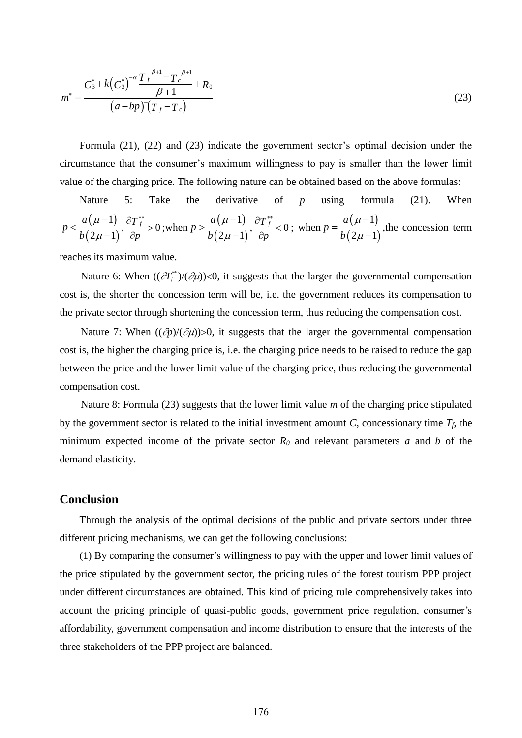$$
m^* = \frac{C_3^* + k(C_3^*)^{-\alpha} \frac{T_f^{\beta+1} - T_c^{\beta+1}}{\beta+1} + R_0}{(a - bp)\mathcal{I}(T_f - T_c)}
$$
(23)

Formula (21), (22) and (23) indicate the government sector's optimal decision under the circumstance that the consumer's maximum willingness to pay is smaller than the lower limit value of the charging price. The following nature can be obtained based on the above formulas:

\n Nature 5: Take the derivative of 
$$
p
$$
 using formula (21). When  $p < \frac{a(\mu - 1)}{b(2\mu - 1)}, \frac{\partial T_f^{**}}{\partial p} > 0$ ; when  $p > \frac{a(\mu - 1)}{b(2\mu - 1)}, \frac{\partial T_f^{**}}{\partial p} < 0$ ; when  $p = \frac{a(\mu - 1)}{b(2\mu - 1)}$ , the concession term.\n

reaches its maximum value.

Nature 6: When  $((\partial T_j^*)/(\partial \mu))$ <0, it suggests that the larger the governmental compensation cost is, the shorter the concession term will be, i.e. the government reduces its compensation to the private sector through shortening the concession term, thus reducing the compensation cost.

Nature 7: When  $((\partial p)/(\partial u))>0$ , it suggests that the larger the governmental compensation cost is, the higher the charging price is, i.e. the charging price needs to be raised to reduce the gap between the price and the lower limit value of the charging price, thus reducing the governmental compensation cost.

Nature 8: Formula (23) suggests that the lower limit value *m* of the charging price stipulated by the government sector is related to the initial investment amount *C*, concessionary time  $T_f$ , the minimum expected income of the private sector *R<sup>0</sup>* and relevant parameters *a* and *b* of the demand elasticity.

### **Conclusion**

Through the analysis of the optimal decisions of the public and private sectors under three different pricing mechanisms, we can get the following conclusions:

(1) By comparing the consumer's willingness to pay with the upper and lower limit values of the price stipulated by the government sector, the pricing rules of the forest tourism PPP project under different circumstances are obtained. This kind of pricing rule comprehensively takes into account the pricing principle of quasi-public goods, government price regulation, consumer's affordability, government compensation and income distribution to ensure that the interests of the three stakeholders of the PPP project are balanced.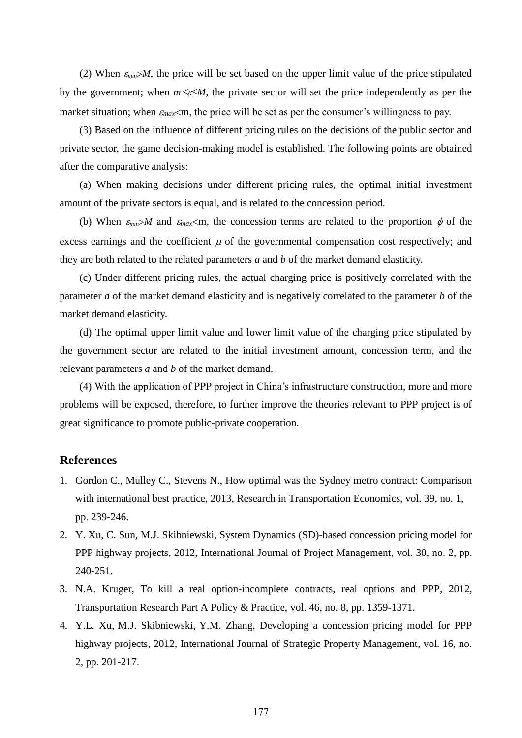(2) When  $\varepsilon_{min} > M$ , the price will be set based on the upper limit value of the price stipulated by the government; when  $m \leq \epsilon \leq M$ , the private sector will set the price independently as per the market situation; when  $\varepsilon_{max}$  m, the price will be set as per the consumer's willingness to pay.

(3) Based on the influence of different pricing rules on the decisions of the public sector and private sector, the game decision-making model is established. The following points are obtained after the comparative analysis:

(a) When making decisions under different pricing rules, the optimal initial investment amount of the private sectors is equal, and is related to the concession period.

(b) When  $\varepsilon_{min} > M$  and  $\varepsilon_{max} < m$ , the concession terms are related to the proportion  $\phi$  of the excess earnings and the coefficient  $\mu$  of the governmental compensation cost respectively; and they are both related to the related parameters *a* and *b* of the market demand elasticity.

(c) Under different pricing rules, the actual charging price is positively correlated with the parameter *a* of the market demand elasticity and is negatively correlated to the parameter *b* of the market demand elasticity.

(d) The optimal upper limit value and lower limit value of the charging price stipulated by the government sector are related to the initial investment amount, concession term, and the relevant parameters *a* and *b* of the market demand.

(4) With the application of PPP project in China's infrastructure construction, more and more problems will be exposed, therefore, to further improve the theories relevant to PPP project is of great significance to promote public-private cooperation.

## **References**

- 1. Gordon C., Mulley C., Stevens N., How optimal was the Sydney metro contract: Comparison with international best practice, 2013, Research in Transportation Economics, vol. 39, no. 1, pp. 239-246.
- 2. Y. Xu, C. Sun, M.J. Skibniewski, System Dynamics (SD)-based concession pricing model for PPP highway projects, 2012, International Journal of Project Management, vol. 30, no. 2, pp. 240-251.
- 3. N.A. Kruger, To kill a real option-incomplete contracts, real options and PPP, 2012, Transportation Research Part A Policy & Practice, vol. 46, no. 8, pp. 1359-1371.
- 4. Y.L. Xu, M.J. Skibniewski, Y.M. Zhang, Developing a concession pricing model for PPP highway projects, 2012, International Journal of Strategic Property Management, vol. 16, no. 2, pp. 201-217.